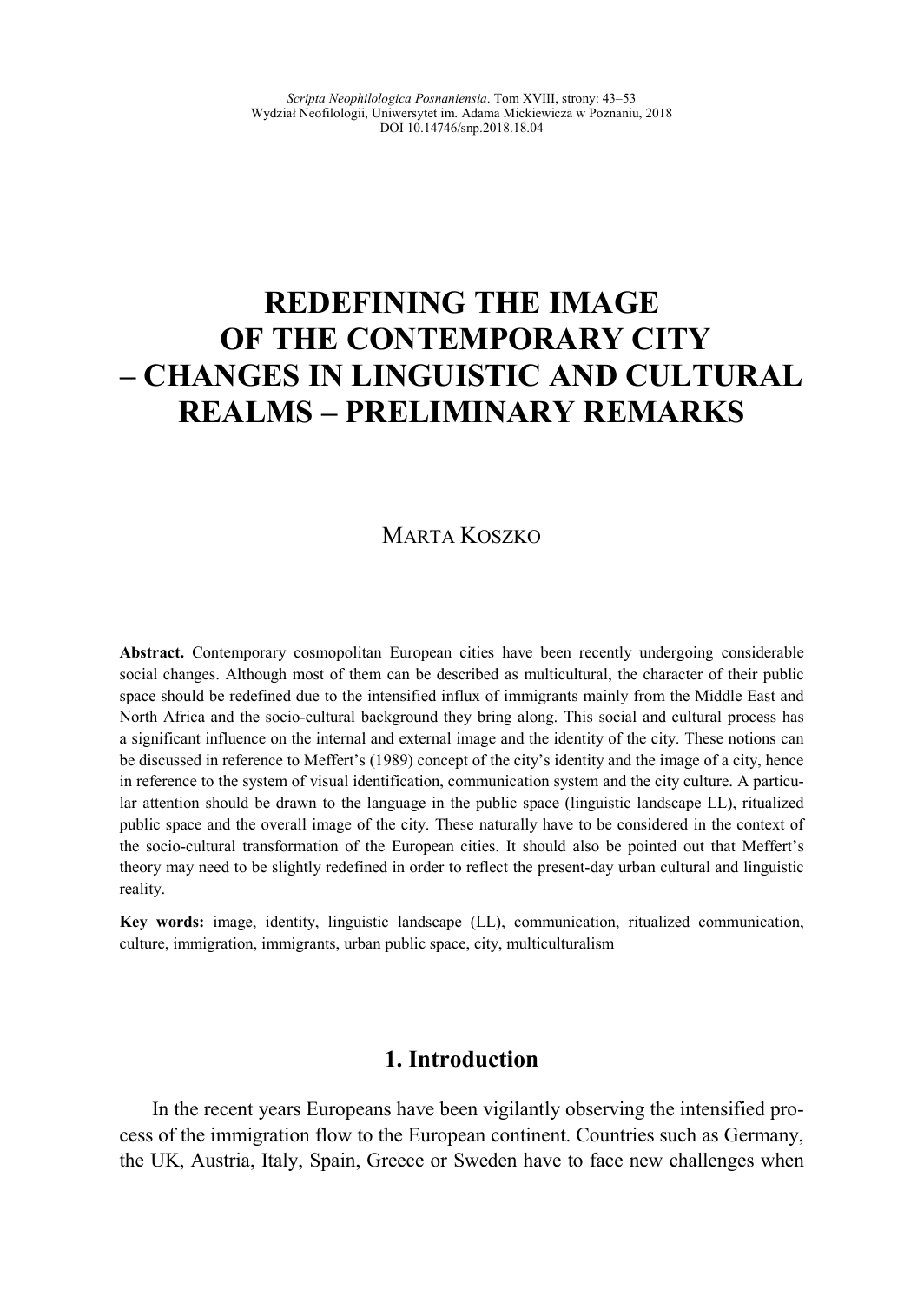# **REDEFI
I
G THE IMAGE OF THE CO
TEMPORARY CITY – CHA
GES I
 LI
GUISTIC A
D CULTURAL REALMS – PRELIMI
ARY REMARKS**

# MARTA KOSZKO

**Abstract.** Contemporary cosmopolitan European cities have been recently undergoing considerable social changes. Although most of them can be described as multicultural, the character of their public space should be redefined due to the intensified influx of immigrants mainly from the Middle East and North Africa and the socio-cultural background they bring along. This social and cultural process has a significant influence on the internal and external image and the identity of the city. These notions can be discussed in reference to Meffert's (1989) concept of the city's identity and the image of a city, hence in reference to the system of visual identification, communication system and the city culture. A particular attention should be drawn to the language in the public space (linguistic landscape LL), ritualized public space and the overall image of the city. These naturally have to be considered in the context of the socio-cultural transformation of the European cities. It should also be pointed out that Meffert's theory may need to be slightly redefined in order to reflect the present-day urban cultural and linguistic reality.

**Key words:** image, identity, linguistic landscape (LL), communication, ritualized communication, culture, immigration, immigrants, urban public space, city, multiculturalism

# **1. Introduction**

In the recent years Europeans have been vigilantly observing the intensified process of the immigration flow to the European continent. Countries such as Germany, the UK, Austria, Italy, Spain, Greece or Sweden have to face new challenges when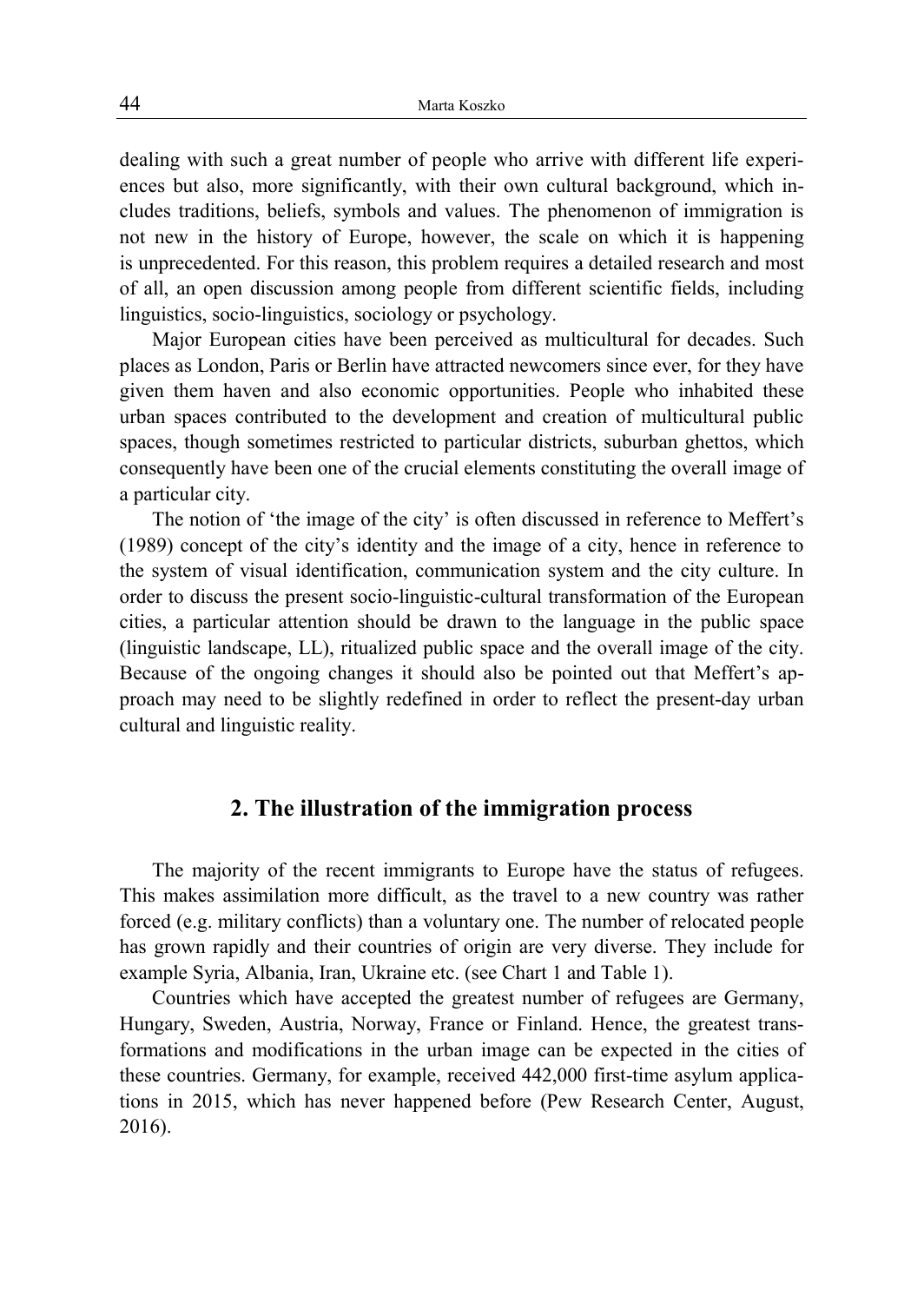dealing with such a great number of people who arrive with different life experiences but also, more significantly, with their own cultural background, which includes traditions, beliefs, symbols and values. The phenomenon of immigration is not new in the history of Europe, however, the scale on which it is happening is unprecedented. For this reason, this problem requires a detailed research and most of all, an open discussion among people from different scientific fields, including linguistics, socio-linguistics, sociology or psychology.

Major European cities have been perceived as multicultural for decades. Such places as London, Paris or Berlin have attracted newcomers since ever, for they have given them haven and also economic opportunities. People who inhabited these urban spaces contributed to the development and creation of multicultural public spaces, though sometimes restricted to particular districts, suburban ghettos, which consequently have been one of the crucial elements constituting the overall image of a particular city.

The notion of 'the image of the city' is often discussed in reference to Meffert's (1989) concept of the city's identity and the image of a city, hence in reference to the system of visual identification, communication system and the city culture. In order to discuss the present socio-linguistic-cultural transformation of the European cities, a particular attention should be drawn to the language in the public space (linguistic landscape, LL), ritualized public space and the overall image of the city. Because of the ongoing changes it should also be pointed out that Meffert's approach may need to be slightly redefined in order to reflect the present-day urban cultural and linguistic reality.

## **2. The illustration of the immigration process**

The majority of the recent immigrants to Europe have the status of refugees. This makes assimilation more difficult, as the travel to a new country was rather forced (e.g. military conflicts) than a voluntary one. The number of relocated people has grown rapidly and their countries of origin are very diverse. They include for example Syria, Albania, Iran, Ukraine etc. (see Chart 1 and Table 1).

Countries which have accepted the greatest number of refugees are Germany, Hungary, Sweden, Austria, Norway, France or Finland. Hence, the greatest transformations and modifications in the urban image can be expected in the cities of these countries. Germany, for example, received 442,000 first-time asylum applications in 2015, which has never happened before (Pew Research Center, August, 2016).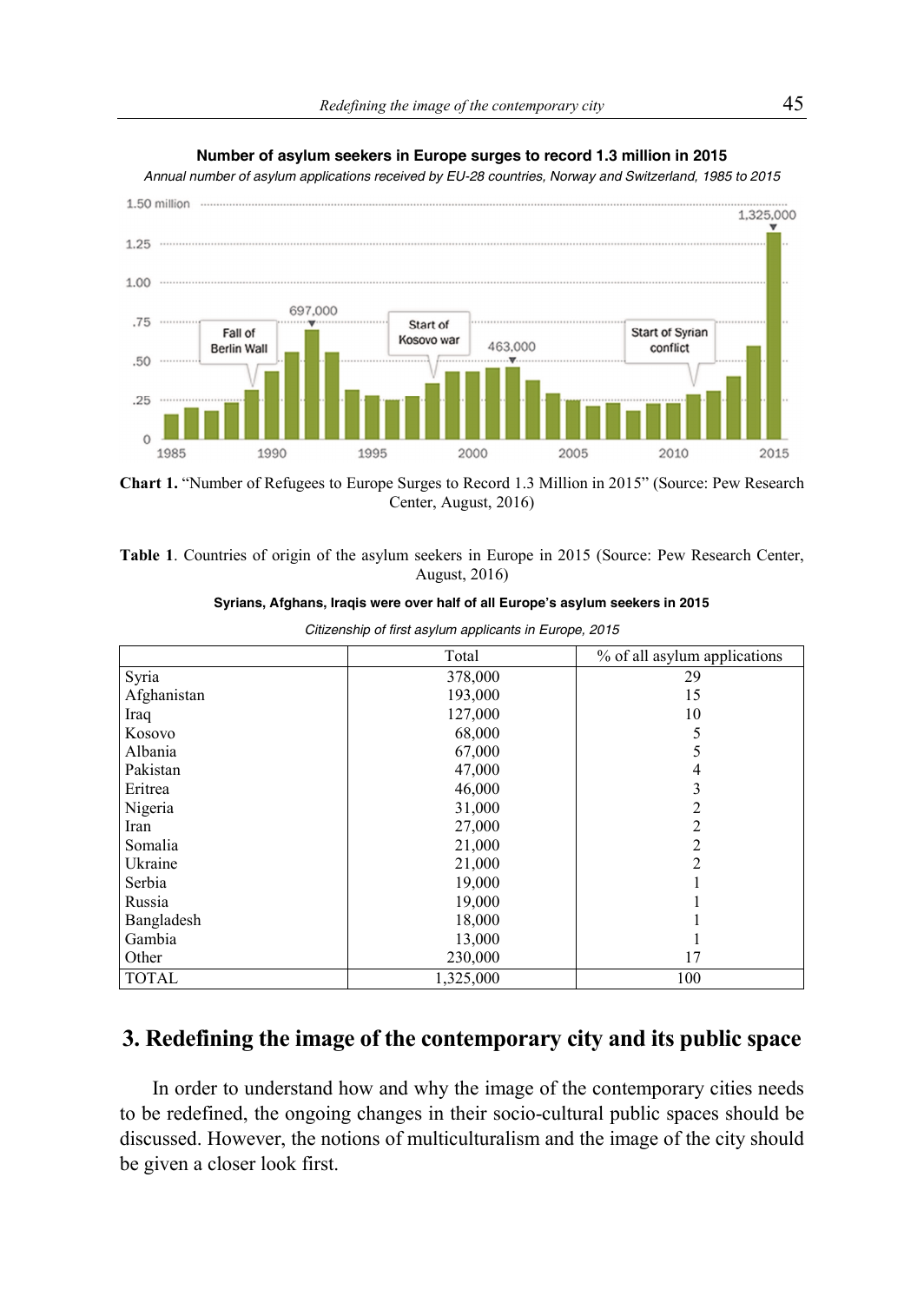

#### **Number of asylum seekers in Europe surges to record 1.3 million in 2015**

*Annual number of asylum applications received by EU-28 countries, Norway and Switzerland, 1985 to 2015* 

**Chart 1.** "Number of Refugees to Europe Surges to Record 1.3 Million in 2015" (Source: Pew Research Center, August, 2016)

**Table 1**. Countries of origin of the asylum seekers in Europe in 2015 (Source: Pew Research Center, August, 2016)

|              | Total     | % of all asylum applications |
|--------------|-----------|------------------------------|
|              |           |                              |
| Syria        | 378,000   | 29                           |
| Afghanistan  | 193,000   | 15                           |
| Iraq         | 127,000   | 10                           |
| Kosovo       | 68,000    |                              |
| Albania      | 67,000    |                              |
| Pakistan     | 47,000    |                              |
| Eritrea      | 46,000    |                              |
| Nigeria      | 31,000    |                              |
| Iran         | 27,000    |                              |
| Somalia      | 21,000    |                              |
| Ukraine      | 21,000    | 2                            |
| Serbia       | 19,000    |                              |
| Russia       | 19,000    |                              |
| Bangladesh   | 18,000    |                              |
| Gambia       | 13,000    |                              |
| Other        | 230,000   | 17                           |
| <b>TOTAL</b> | 1,325,000 | 100                          |

*Citizenship of first asylum applicants in Europe, 2015* 

# **3. Redefining the image of the contemporary city and its public space**

In order to understand how and why the image of the contemporary cities needs to be redefined, the ongoing changes in their socio-cultural public spaces should be discussed. However, the notions of multiculturalism and the image of the city should be given a closer look first.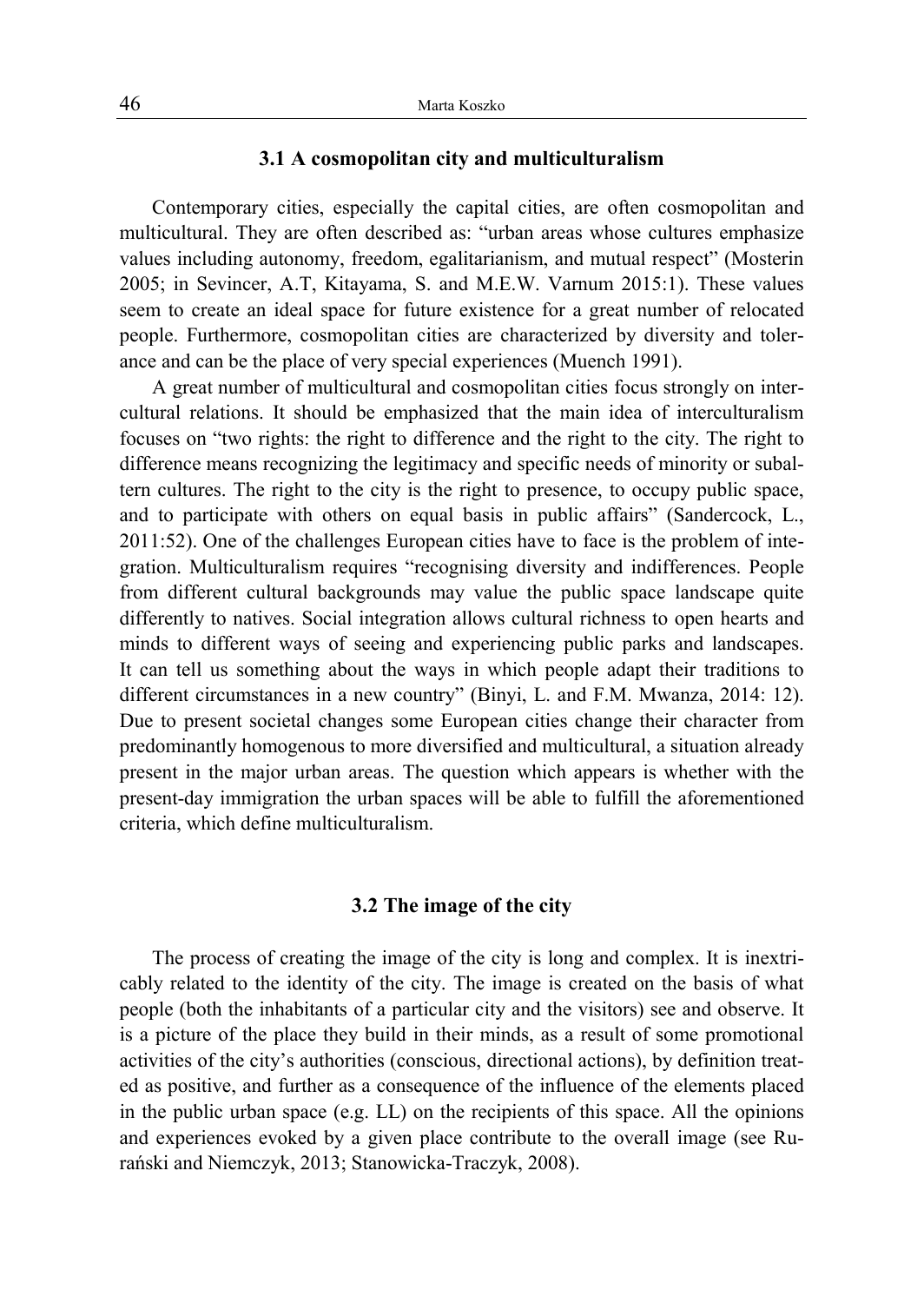#### **3.1 A cosmopolitan city and multiculturalism**

Contemporary cities, especially the capital cities, are often cosmopolitan and multicultural. They are often described as: "urban areas whose cultures emphasize values including autonomy, freedom, egalitarianism, and mutual respect" (Mosterin 2005; in Sevincer, A.T, Kitayama, S. and M.E.W. Varnum 2015:1). These values seem to create an ideal space for future existence for a great number of relocated people. Furthermore, cosmopolitan cities are characterized by diversity and tolerance and can be the place of very special experiences (Muench 1991).

A great number of multicultural and cosmopolitan cities focus strongly on intercultural relations. It should be emphasized that the main idea of interculturalism focuses on "two rights: the right to difference and the right to the city. The right to difference means recognizing the legitimacy and specific needs of minority or subaltern cultures. The right to the city is the right to presence, to occupy public space, and to participate with others on equal basis in public affairs" (Sandercock, L., 2011:52). One of the challenges European cities have to face is the problem of integration. Multiculturalism requires "recognising diversity and indifferences. People from different cultural backgrounds may value the public space landscape quite differently to natives. Social integration allows cultural richness to open hearts and minds to different ways of seeing and experiencing public parks and landscapes. It can tell us something about the ways in which people adapt their traditions to different circumstances in a new country" (Binyi, L. and F.M. Mwanza, 2014: 12). Due to present societal changes some European cities change their character from predominantly homogenous to more diversified and multicultural, a situation already present in the major urban areas. The question which appears is whether with the present-day immigration the urban spaces will be able to fulfill the aforementioned criteria, which define multiculturalism.

#### **3.2 The image of the city**

The process of creating the image of the city is long and complex. It is inextricably related to the identity of the city. The image is created on the basis of what people (both the inhabitants of a particular city and the visitors) see and observe. It is a picture of the place they build in their minds, as a result of some promotional activities of the city's authorities (conscious, directional actions), by definition treated as positive, and further as a consequence of the influence of the elements placed in the public urban space  $(e.g. LL)$  on the recipients of this space. All the opinions and experiences evoked by a given place contribute to the overall image (see Rurański and Niemczyk, 2013; Stanowicka-Traczyk, 2008).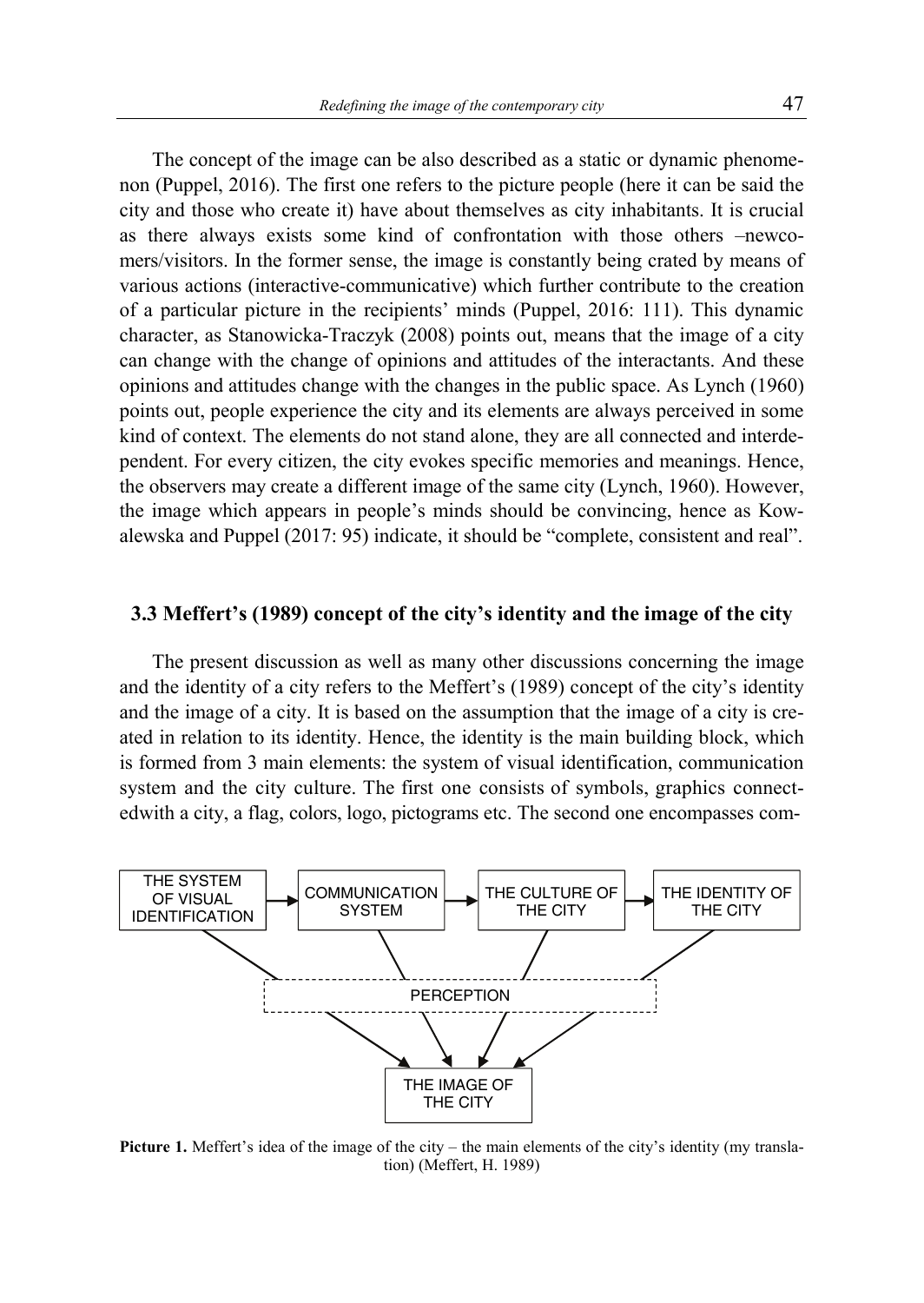The concept of the image can be also described as a static or dynamic phenomenon (Puppel, 2016). The first one refers to the picture people (here it can be said the city and those who create it) have about themselves as city inhabitants. It is crucial as there always exists some kind of confrontation with those others –newcomers/visitors. In the former sense, the image is constantly being crated by means of various actions (interactive-communicative) which further contribute to the creation of a particular picture in the recipients' minds (Puppel, 2016: 111). This dynamic character, as Stanowicka-Traczyk (2008) points out, means that the image of a city can change with the change of opinions and attitudes of the interactants. And these opinions and attitudes change with the changes in the public space. As Lynch (1960) points out, people experience the city and its elements are always perceived in some kind of context. The elements do not stand alone, they are all connected and interdependent. For every citizen, the city evokes specific memories and meanings. Hence, the observers may create a different image of the same city (Lynch, 1960). However, the image which appears in people's minds should be convincing, hence as Kowalewska and Puppel (2017: 95) indicate, it should be "complete, consistent and real".

#### **3.3 Meffert's (1989) concept of the city's identity and the image of the city**

The present discussion as well as many other discussions concerning the image and the identity of a city refers to the Meffert's (1989) concept of the city's identity and the image of a city. It is based on the assumption that the image of a city is created in relation to its identity. Hence, the identity is the main building block, which is formed from 3 main elements: the system of visual identification, communication system and the city culture. The first one consists of symbols, graphics connectedwith a city, a flag, colors, logo, pictograms etc. The second one encompasses com-



**Picture 1.** Meffert's idea of the image of the city – the main elements of the city's identity (my translation) (Meffert, H. 1989)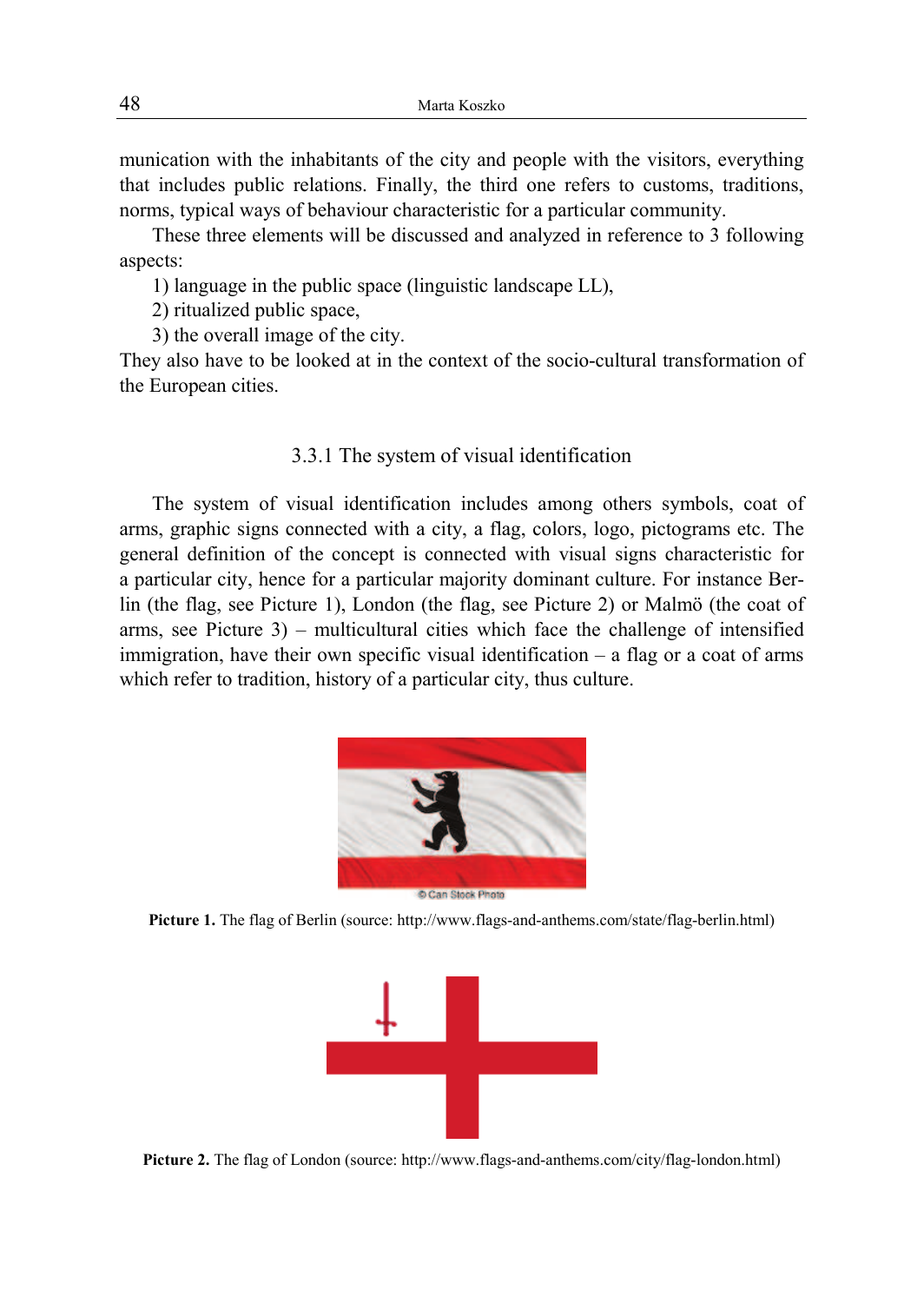munication with the inhabitants of the city and people with the visitors, everything that includes public relations. Finally, the third one refers to customs, traditions, norms, typical ways of behaviour characteristic for a particular community.

These three elements will be discussed and analyzed in reference to 3 following aspects:

1) language in the public space (linguistic landscape LL),

2) ritualized public space,

3) the overall image of the city.

They also have to be looked at in the context of the socio-cultural transformation of the European cities.

### 3.3.1 The system of visual identification

The system of visual identification includes among others symbols, coat of arms, graphic signs connected with a city, a flag, colors, logo, pictograms etc. The general definition of the concept is connected with visual signs characteristic for a particular city, hence for a particular majority dominant culture. For instance Berlin (the flag, see Picture 1), London (the flag, see Picture 2) or Malmö (the coat of arms, see Picture 3) – multicultural cities which face the challenge of intensified immigration, have their own specific visual identification – a flag or a coat of arms which refer to tradition, history of a particular city, thus culture.



**Picture 1.** The flag of Berlin (source: http://www.flags-and-anthems.com/state/flag-berlin.html)



**Picture 2.** The flag of London (source: http://www.flags-and-anthems.com/city/flag-london.html)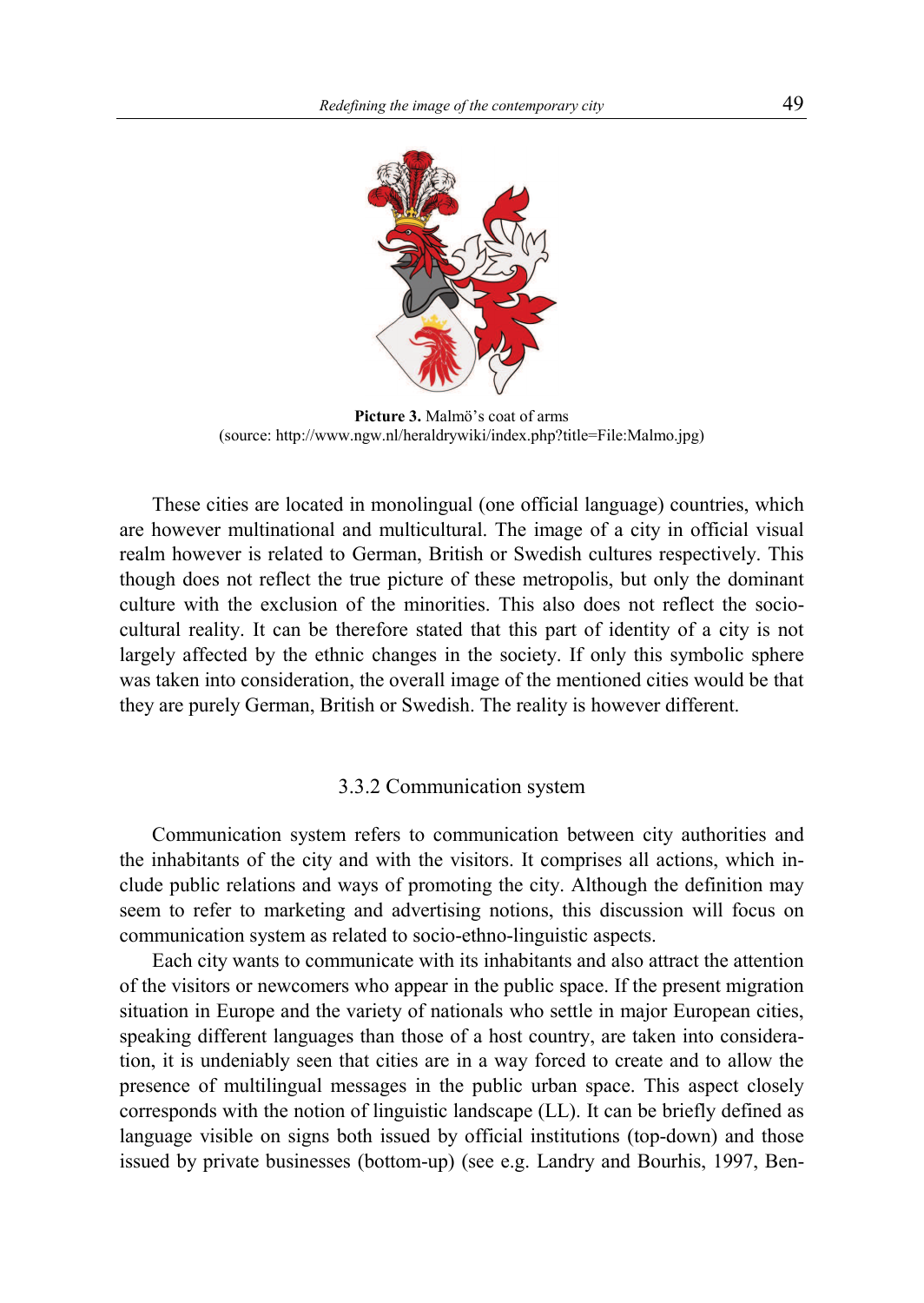

**Picture 3.** Malmö's coat of arms (source: http://www.ngw.nl/heraldrywiki/index.php?title=File:Malmo.jpg)

These cities are located in monolingual (one official language) countries, which are however multinational and multicultural. The image of a city in official visual realm however is related to German, British or Swedish cultures respectively. This though does not reflect the true picture of these metropolis, but only the dominant culture with the exclusion of the minorities. This also does not reflect the sociocultural reality. It can be therefore stated that this part of identity of a city is not largely affected by the ethnic changes in the society. If only this symbolic sphere was taken into consideration, the overall image of the mentioned cities would be that they are purely German, British or Swedish. The reality is however different.

## 3.3.2 Communication system

Communication system refers to communication between city authorities and the inhabitants of the city and with the visitors. It comprises all actions, which include public relations and ways of promoting the city. Although the definition may seem to refer to marketing and advertising notions, this discussion will focus on communication system as related to socio-ethno-linguistic aspects.

Each city wants to communicate with its inhabitants and also attract the attention of the visitors or newcomers who appear in the public space. If the present migration situation in Europe and the variety of nationals who settle in major European cities, speaking different languages than those of a host country, are taken into consideration, it is undeniably seen that cities are in a way forced to create and to allow the presence of multilingual messages in the public urban space. This aspect closely corresponds with the notion of linguistic landscape (LL). It can be briefly defined as language visible on signs both issued by official institutions (top-down) and those issued by private businesses (bottom-up) (see e.g. Landry and Bourhis, 1997, Ben-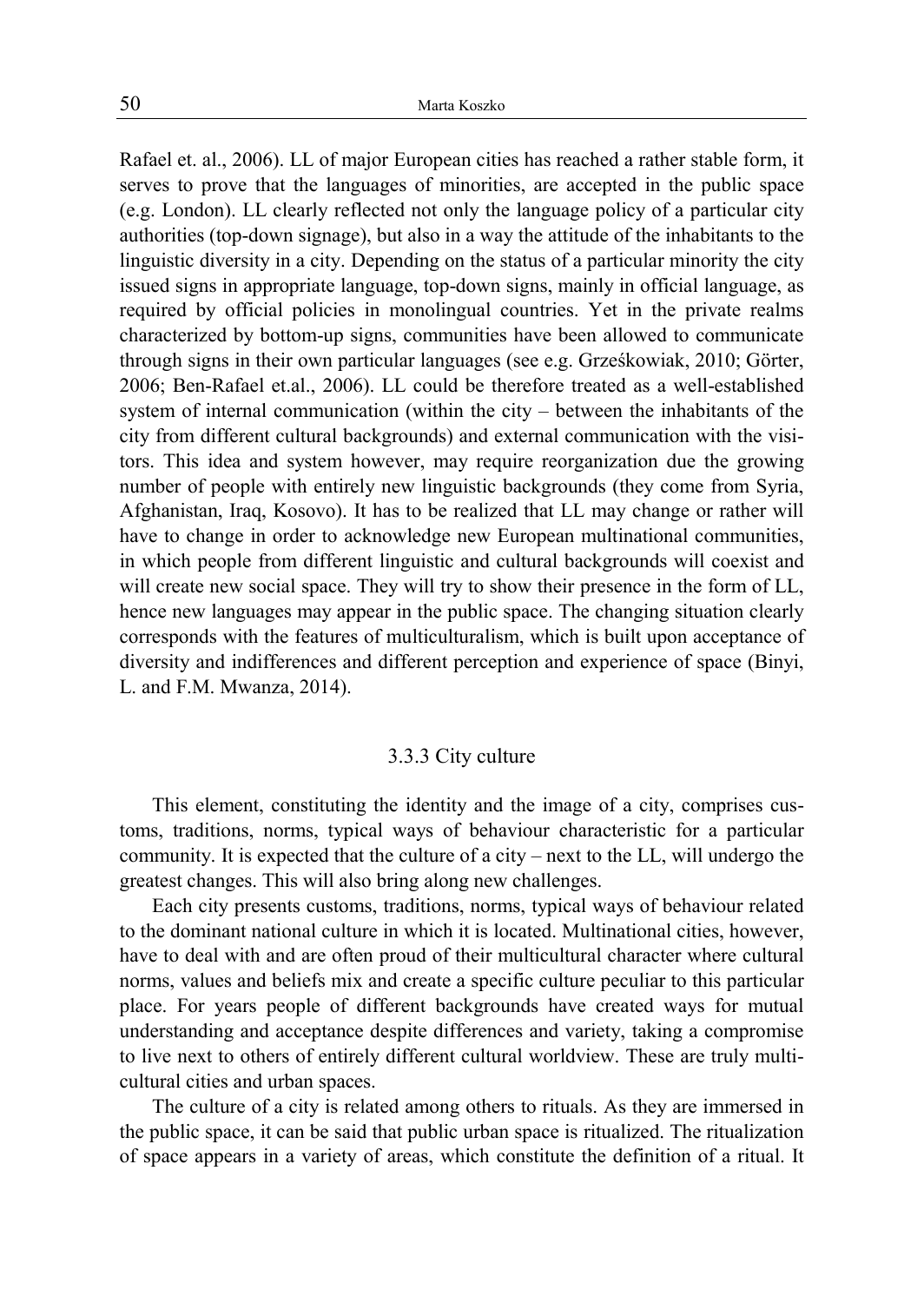Rafael et. al., 2006). LL of major European cities has reached a rather stable form, it serves to prove that the languages of minorities, are accepted in the public space (e.g. London). LL clearly reflected not only the language policy of a particular city authorities (top-down signage), but also in a way the attitude of the inhabitants to the linguistic diversity in a city. Depending on the status of a particular minority the city issued signs in appropriate language, top-down signs, mainly in official language, as required by official policies in monolingual countries. Yet in the private realms characterized by bottom-up signs, communities have been allowed to communicate through signs in their own particular languages (see e.g. Grześkowiak, 2010; Görter, 2006; Ben-Rafael et.al., 2006). LL could be therefore treated as a well-established system of internal communication (within the city – between the inhabitants of the city from different cultural backgrounds) and external communication with the visitors. This idea and system however, may require reorganization due the growing number of people with entirely new linguistic backgrounds (they come from Syria, Afghanistan, Iraq, Kosovo). It has to be realized that LL may change or rather will have to change in order to acknowledge new European multinational communities, in which people from different linguistic and cultural backgrounds will coexist and will create new social space. They will try to show their presence in the form of LL, hence new languages may appear in the public space. The changing situation clearly corresponds with the features of multiculturalism, which is built upon acceptance of diversity and indifferences and different perception and experience of space (Binyi, L. and F.M. Mwanza, 2014).

## 3.3.3 City culture

This element, constituting the identity and the image of a city, comprises customs, traditions, norms, typical ways of behaviour characteristic for a particular community. It is expected that the culture of a city – next to the LL, will undergo the greatest changes. This will also bring along new challenges.

Each city presents customs, traditions, norms, typical ways of behaviour related to the dominant national culture in which it is located. Multinational cities, however, have to deal with and are often proud of their multicultural character where cultural norms, values and beliefs mix and create a specific culture peculiar to this particular place. For years people of different backgrounds have created ways for mutual understanding and acceptance despite differences and variety, taking a compromise to live next to others of entirely different cultural worldview. These are truly multicultural cities and urban spaces.

The culture of a city is related among others to rituals. As they are immersed in the public space, it can be said that public urban space is ritualized. The ritualization of space appears in a variety of areas, which constitute the definition of a ritual. It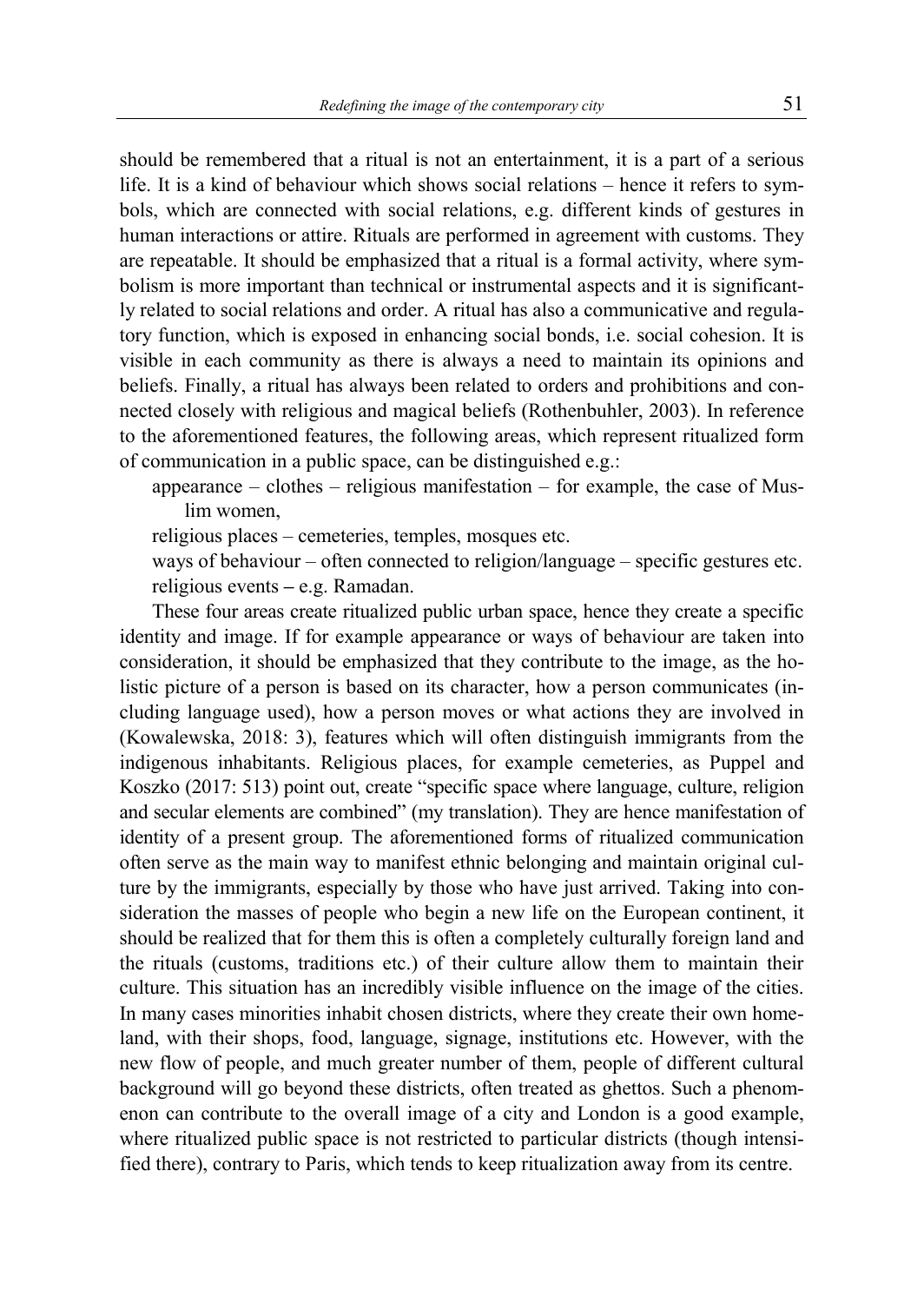should be remembered that a ritual is not an entertainment, it is a part of a serious life. It is a kind of behaviour which shows social relations – hence it refers to symbols, which are connected with social relations, e.g. different kinds of gestures in human interactions or attire. Rituals are performed in agreement with customs. They are repeatable. It should be emphasized that a ritual is a formal activity, where symbolism is more important than technical or instrumental aspects and it is significantly related to social relations and order. A ritual has also a communicative and regulatory function, which is exposed in enhancing social bonds, i.e. social cohesion. It is visible in each community as there is always a need to maintain its opinions and beliefs. Finally, a ritual has always been related to orders and prohibitions and connected closely with religious and magical beliefs (Rothenbuhler, 2003). In reference to the aforementioned features, the following areas, which represent ritualized form of communication in a public space, can be distinguished e.g.:

appearance – clothes – religious manifestation – for example, the case of Muslim women,

religious places – cemeteries, temples, mosques etc.

ways of behaviour – often connected to religion/language – specific gestures etc. religious events **–** e.g. Ramadan.

These four areas create ritualized public urban space, hence they create a specific identity and image. If for example appearance or ways of behaviour are taken into consideration, it should be emphasized that they contribute to the image, as the holistic picture of a person is based on its character, how a person communicates (including language used), how a person moves or what actions they are involved in (Kowalewska, 2018: 3), features which will often distinguish immigrants from the indigenous inhabitants. Religious places, for example cemeteries, as Puppel and Koszko (2017: 513) point out, create "specific space where language, culture, religion and secular elements are combined" (my translation). They are hence manifestation of identity of a present group. The aforementioned forms of ritualized communication often serve as the main way to manifest ethnic belonging and maintain original culture by the immigrants, especially by those who have just arrived. Taking into consideration the masses of people who begin a new life on the European continent, it should be realized that for them this is often a completely culturally foreign land and the rituals (customs, traditions etc.) of their culture allow them to maintain their culture. This situation has an incredibly visible influence on the image of the cities. In many cases minorities inhabit chosen districts, where they create their own homeland, with their shops, food, language, signage, institutions etc. However, with the new flow of people, and much greater number of them, people of different cultural background will go beyond these districts, often treated as ghettos. Such a phenomenon can contribute to the overall image of a city and London is a good example, where ritualized public space is not restricted to particular districts (though intensified there), contrary to Paris, which tends to keep ritualization away from its centre.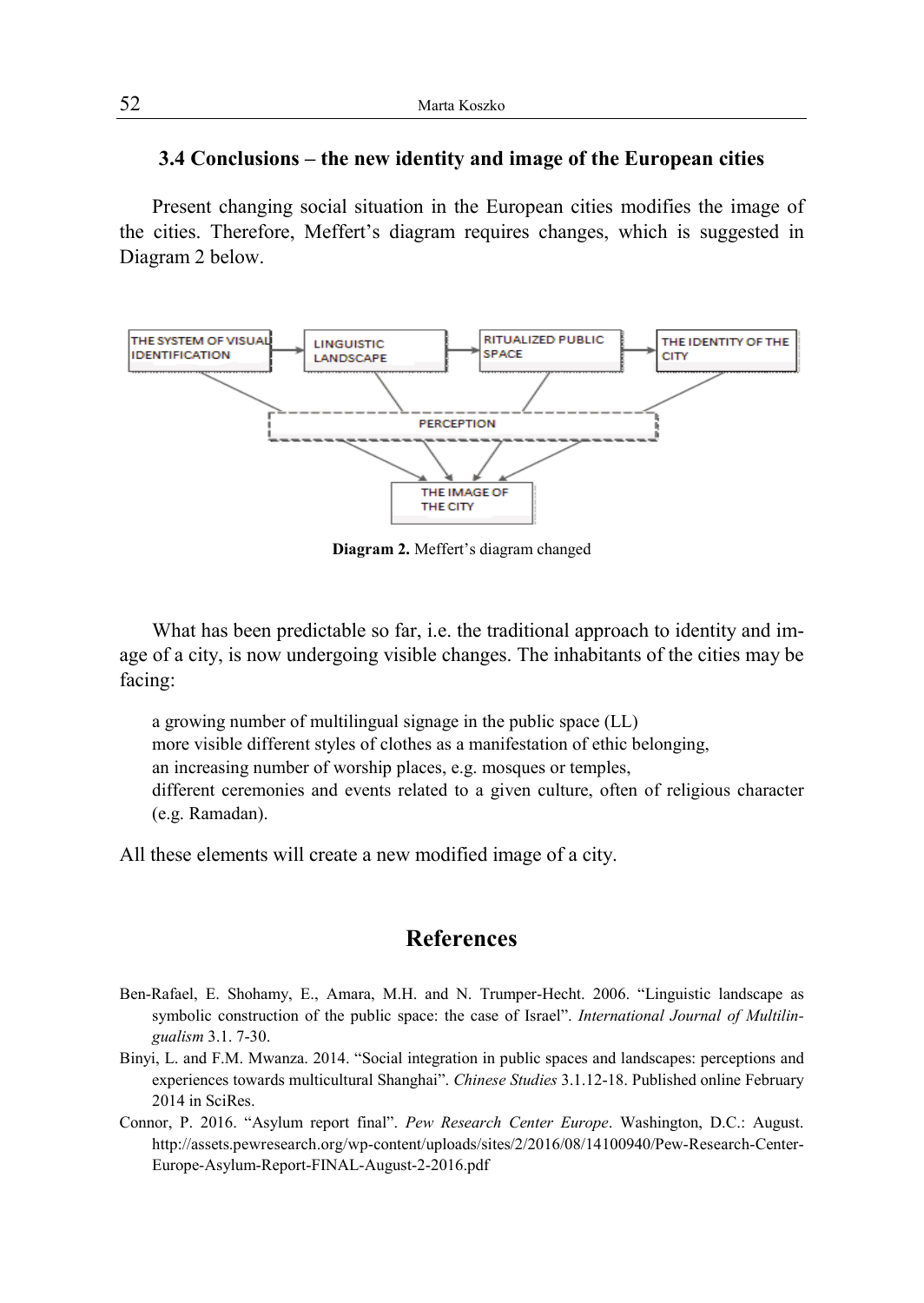## **3.4 Conclusions – the new identity and image of the European cities**

Present changing social situation in the European cities modifies the image of the cities. Therefore, Meffert's diagram requires changes, which is suggested in Diagram 2 below.



**Diagram 2.** Meffert's diagram changed

What has been predictable so far, i.e. the traditional approach to identity and image of a city, is now undergoing visible changes. The inhabitants of the cities may be facing:

a growing number of multilingual signage in the public space (LL) more visible different styles of clothes as a manifestation of ethic belonging, an increasing number of worship places, e.g. mosques or temples, different ceremonies and events related to a given culture, often of religious character (e.g. Ramadan).

All these elements will create a new modified image of a city.

# **References**

- Ben-Rafael, E. Shohamy, E., Amara, M.H. and N. Trumper-Hecht. 2006. "Linguistic landscape as symbolic construction of the public space: the case of Israel". *International Journal of Multilingualism* 3.1. 7-30.
- Binyi, L. and F.M. Mwanza. 2014. "Social integration in public spaces and landscapes: perceptions and experiences towards multicultural Shanghai". *Chinese Studies* 3.1.12-18. Published online February 2014 in SciRes.
- Connor, P. 2016. "Asylum report final". *Pew Research Center Europe*. Washington, D.C.: August. http://assets.pewresearch.org/wp-content/uploads/sites/2/2016/08/14100940/Pew-Research-Center-Europe-Asylum-Report-FINAL-August-2-2016.pdf